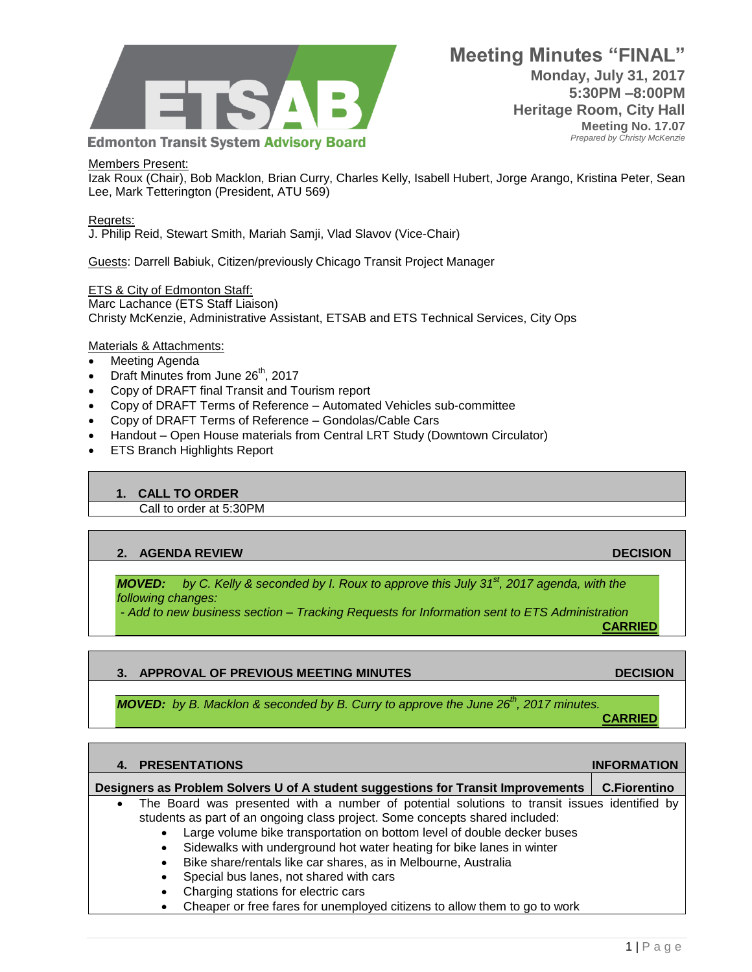

#### Members Present:

Izak Roux (Chair), Bob Macklon, Brian Curry, Charles Kelly, Isabell Hubert, Jorge Arango, Kristina Peter, Sean Lee, Mark Tetterington (President, ATU 569)

#### Regrets:

J. Philip Reid, Stewart Smith, Mariah Samji, Vlad Slavov (Vice-Chair)

Guests: Darrell Babiuk, Citizen/previously Chicago Transit Project Manager

#### **ETS & City of Edmonton Staff:** Marc Lachance (ETS Staff Liaison) Christy McKenzie, Administrative Assistant, ETSAB and ETS Technical Services, City Ops

### Materials & Attachments:

- Meeting Agenda
- Draft Minutes from June  $26<sup>th</sup>$ , 2017
- Copy of DRAFT final Transit and Tourism report
- Copy of DRAFT Terms of Reference Automated Vehicles sub-committee
- Copy of DRAFT Terms of Reference Gondolas/Cable Cars
- Handout Open House materials from Central LRT Study (Downtown Circulator)
- ETS Branch Highlights Report

### **1. CALL TO ORDER**

Call to order at 5:30PM

### **2. AGENDA REVIEW DECISION**

*MOVED: by C. Kelly & seconded by I. Roux to approve this July 31st, 2017 agenda, with the following changes:* 

*- Add to new business section – Tracking Requests for Information sent to ETS Administration*

# **3. APPROVAL OF PREVIOUS MEETING MINUTES DECISION**

*MOVED: by B. Macklon & seconded by B. Curry to approve the June 26th, 2017 minutes.*

**CARRIED**

# **4. PRESENTATIONS INFORMATION Designers as Problem Solvers U of A student suggestions for Transit Improvements C.Fiorentino** The Board was presented with a number of potential solutions to transit issues identified by students as part of an ongoing class project. Some concepts shared included: Large volume bike transportation on bottom level of double decker buses Sidewalks with underground hot water heating for bike lanes in winter Bike share/rentals like car shares, as in Melbourne, Australia Special bus lanes, not shared with cars

- Charging stations for electric cars
- Cheaper or free fares for unemployed citizens to allow them to go to work

**CARRIED**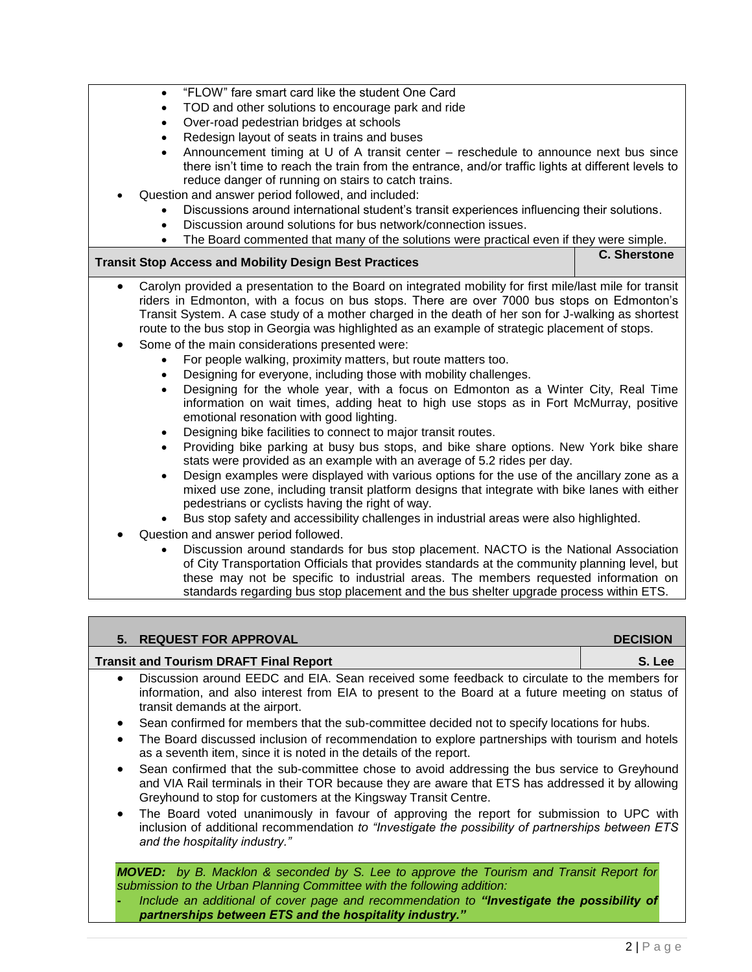- "FLOW" fare smart card like the student One Card
- TOD and other solutions to encourage park and ride
- Over-road pedestrian bridges at schools
- Redesign layout of seats in trains and buses
- Announcement timing at U of A transit center reschedule to announce next bus since there isn't time to reach the train from the entrance, and/or traffic lights at different levels to reduce danger of running on stairs to catch trains.
- Question and answer period followed, and included:
	- Discussions around international student's transit experiences influencing their solutions.
	- Discussion around solutions for bus network/connection issues.
	- The Board commented that many of the solutions were practical even if they were simple.

# **Transit Stop Access and Mobility Design Best Practices C. Sherstone**

- Carolyn provided a presentation to the Board on integrated mobility for first mile/last mile for transit riders in Edmonton, with a focus on bus stops. There are over 7000 bus stops on Edmonton's Transit System. A case study of a mother charged in the death of her son for J-walking as shortest route to the bus stop in Georgia was highlighted as an example of strategic placement of stops.
- Some of the main considerations presented were:
	- For people walking, proximity matters, but route matters too.
	- Designing for everyone, including those with mobility challenges.
	- Designing for the whole year, with a focus on Edmonton as a Winter City, Real Time information on wait times, adding heat to high use stops as in Fort McMurray, positive emotional resonation with good lighting.
	- Designing bike facilities to connect to major transit routes.
	- Providing bike parking at busy bus stops, and bike share options. New York bike share stats were provided as an example with an average of 5.2 rides per day.
	- Design examples were displayed with various options for the use of the ancillary zone as a mixed use zone, including transit platform designs that integrate with bike lanes with either pedestrians or cyclists having the right of way.
	- Bus stop safety and accessibility challenges in industrial areas were also highlighted.
- Question and answer period followed.
	- Discussion around standards for bus stop placement. NACTO is the National Association of City Transportation Officials that provides standards at the community planning level, but these may not be specific to industrial areas. The members requested information on standards regarding bus stop placement and the bus shelter upgrade process within ETS.

# **5. REQUEST FOR APPROVAL DECISION Transit and Tourism DRAFT Final Report S. Lee** Discussion around EEDC and EIA. Sean received some feedback to circulate to the members for information, and also interest from EIA to present to the Board at a future meeting on status of transit demands at the airport.

- Sean confirmed for members that the sub-committee decided not to specify locations for hubs.
- The Board discussed inclusion of recommendation to explore partnerships with tourism and hotels as a seventh item, since it is noted in the details of the report.
- Sean confirmed that the sub-committee chose to avoid addressing the bus service to Greyhound and VIA Rail terminals in their TOR because they are aware that ETS has addressed it by allowing Greyhound to stop for customers at the Kingsway Transit Centre.
- The Board voted unanimously in favour of approving the report for submission to UPC with inclusion of additional recommendation *to "Investigate the possibility of partnerships between ETS and the hospitality industry."*

*MOVED: by B. Macklon & seconded by S. Lee to approve the Tourism and Transit Report for submission to the Urban Planning Committee with the following addition:*

**-** *Include an additional of cover page and recommendation to "Investigate the possibility of partnerships between ETS and the hospitality industry."*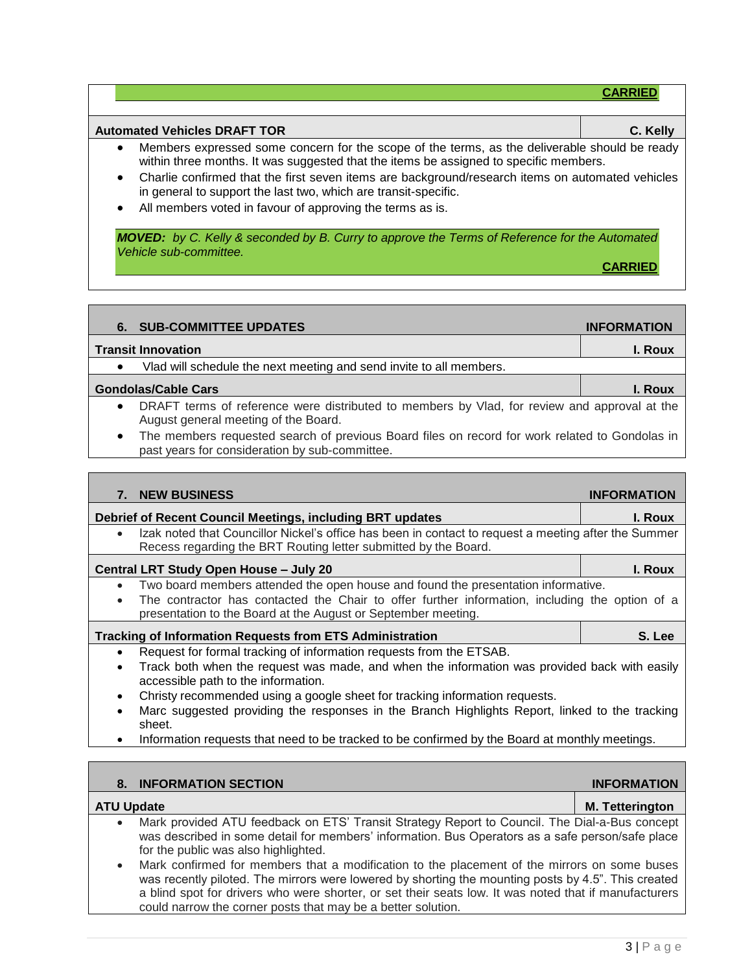| <b>Automated Vehicles DRAFT TOR</b><br>C. Kelly |                                                                                                                                                                                                                                    |  |  |
|-------------------------------------------------|------------------------------------------------------------------------------------------------------------------------------------------------------------------------------------------------------------------------------------|--|--|
|                                                 | Members expressed some concern for the scope of the terms, as the deliverable should be ready<br>within three months. It was suggested that the items be assigned to specific members.                                             |  |  |
|                                                 | $\bullet$ . The contract of the contract of the contract of the contract of the contract of the contract of the contract of the contract of the contract of the contract of the contract of the contract of the contract of the co |  |  |

- Charlie confirmed that the first seven items are background/research items on automated vehicles in general to support the last two, which are transit-specific.
- All members voted in favour of approving the terms as is.

*MOVED: by C. Kelly & seconded by B. Curry to approve the Terms of Reference for the Automated Vehicle sub-committee.* 

**CARRIED**

**CARRIED**

┓

| <b>SUB-COMMITTEE UPDATES</b><br>6.                                                                                                                            | <b>INFORMATION</b> |
|---------------------------------------------------------------------------------------------------------------------------------------------------------------|--------------------|
| <b>Transit Innovation</b>                                                                                                                                     | I. Roux            |
| Vlad will schedule the next meeting and send invite to all members.                                                                                           |                    |
| <b>Gondolas/Cable Cars</b>                                                                                                                                    | I. Roux            |
| DRAFT terms of reference were distributed to members by Vlad, for review and approval at the<br>$\bullet$<br>August general meeting of the Board.             |                    |
| The members requested search of previous Board files on record for work related to Gondolas in<br>$\bullet$<br>past years for consideration by sub-committee. |                    |
|                                                                                                                                                               |                    |
| <b>NEW BUSINESS</b>                                                                                                                                           | <b>INFORMAT</b>    |

|                                                                                                                                                                                      | 1111 YIMIATIYIN |
|--------------------------------------------------------------------------------------------------------------------------------------------------------------------------------------|-----------------|
| Debrief of Recent Council Meetings, including BRT updates                                                                                                                            | I. Roux         |
| Izak noted that Councillor Nickel's office has been in contact to request a meeting after the Summer<br>$\bullet$<br>Recess regarding the BRT Routing letter submitted by the Board. |                 |
| Central LRT Study Open House - July 20                                                                                                                                               | I. Roux         |
| Two board members attended the open house and found the presentation informative.                                                                                                    |                 |
| The contractor has contacted the Chair to offer further information, including the option of a<br>presentation to the Board at the August or September meeting.                      |                 |
| <b>Tracking of Information Requests from ETS Administration</b>                                                                                                                      | S. Lee          |
| Request for formal tracking of information requests from the ETSAB.                                                                                                                  |                 |
| Track both when the request was made, and when the information was provided back with easily<br>$\bullet$<br>accessible path to the information.                                     |                 |
| Christy recommended using a google sheet for tracking information requests.                                                                                                          |                 |
| Marc suggested providing the responses in the Branch Highlights Report, linked to the tracking<br>$\bullet$<br>sheet.                                                                |                 |

• Information requests that need to be tracked to be confirmed by the Board at monthly meetings.

|                   | 8. INFORMATION SECTION                                                                                                                                                                                                                                                                                                                                                       | <b>INFORMATION</b>     |
|-------------------|------------------------------------------------------------------------------------------------------------------------------------------------------------------------------------------------------------------------------------------------------------------------------------------------------------------------------------------------------------------------------|------------------------|
| <b>ATU Update</b> |                                                                                                                                                                                                                                                                                                                                                                              | <b>M.</b> Tetterington |
| $\bullet$         | Mark provided ATU feedback on ETS' Transit Strategy Report to Council. The Dial-a-Bus concept<br>was described in some detail for members' information. Bus Operators as a safe person/safe place<br>for the public was also highlighted.                                                                                                                                    |                        |
| $\bullet$         | Mark confirmed for members that a modification to the placement of the mirrors on some buses<br>was recently piloted. The mirrors were lowered by shorting the mounting posts by 4.5". This created<br>a blind spot for drivers who were shorter, or set their seats low. It was noted that if manufacturers<br>could narrow the corner posts that may be a better solution. |                        |